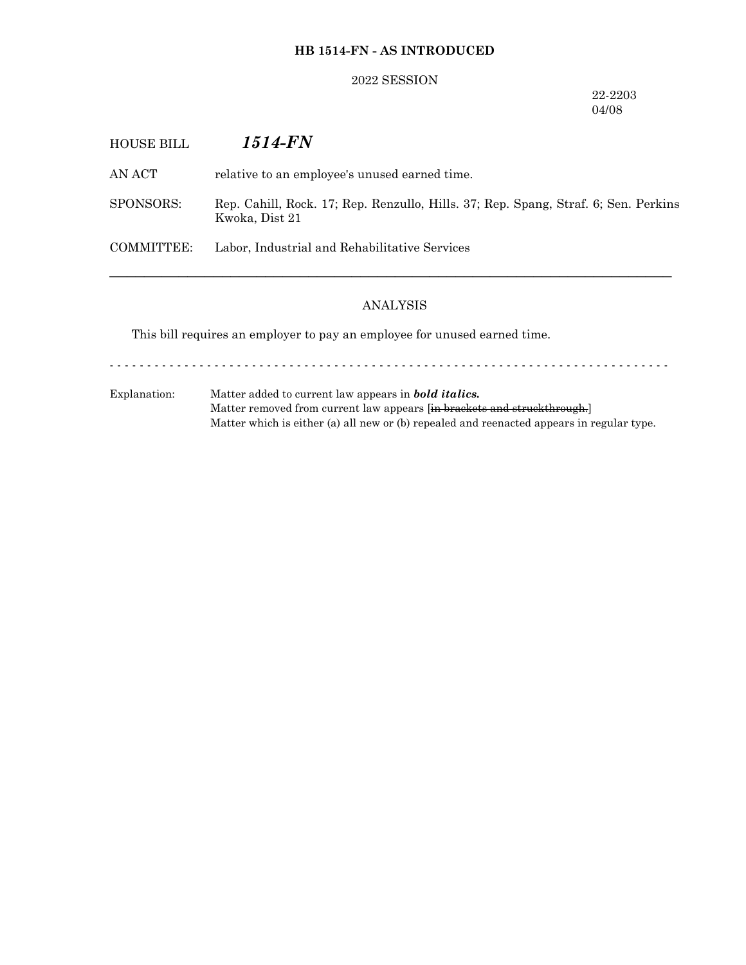### **HB 1514-FN - AS INTRODUCED**

#### 2022 SESSION

### 22-2203 04/08

| <b>HOUSE BILL</b> | <i>1514-FN</i>                                                                                        |
|-------------------|-------------------------------------------------------------------------------------------------------|
| AN ACT            | relative to an employee's unused earned time.                                                         |
| SPONSORS:         | Rep. Cahill, Rock. 17; Rep. Renzullo, Hills. 37; Rep. Spang, Straf. 6; Sen. Perkins<br>Kwoka, Dist 21 |
| COMMITTEE:        | Labor, Industrial and Rehabilitative Services                                                         |
|                   |                                                                                                       |

# ANALYSIS

This bill requires an employer to pay an employee for unused earned time.

- - - - - - - - - - - - - - - - - - - - - - - - - - - - - - - - - - - - - - - - - - - - - - - - - - - - - - - - - - - - - - - - - - - - - - - - - - -

Explanation: Matter added to current law appears in *bold italics.* Matter removed from current law appears [in brackets and struckthrough.] Matter which is either (a) all new or (b) repealed and reenacted appears in regular type.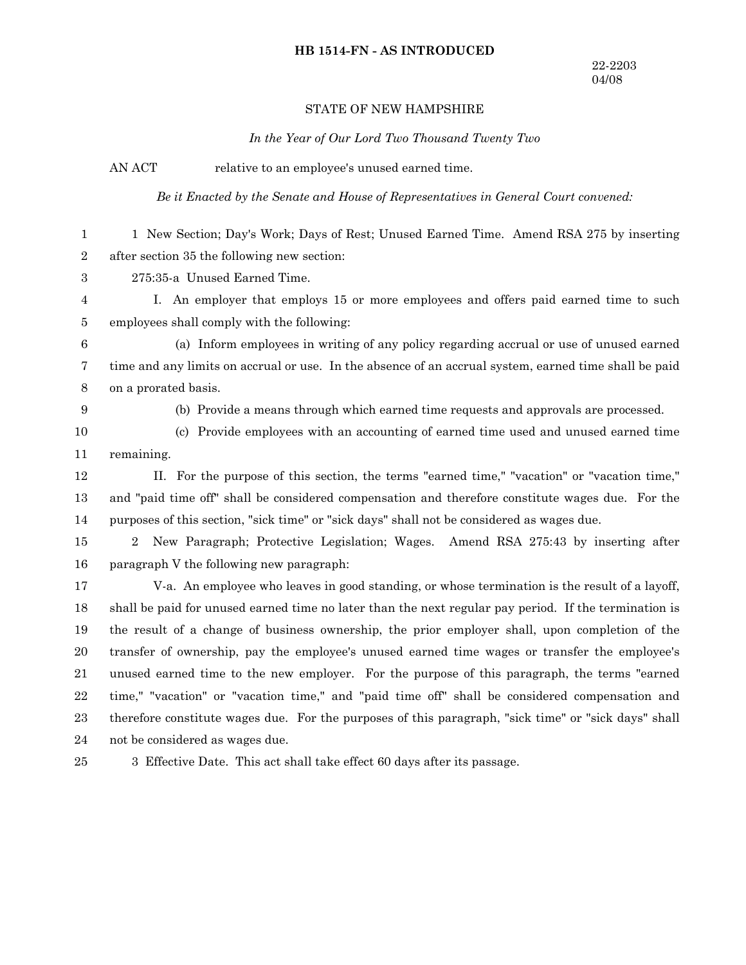#### **HB 1514-FN - AS INTRODUCED**

#### STATE OF NEW HAMPSHIRE

*In the Year of Our Lord Two Thousand Twenty Two*

AN ACT relative to an employee's unused earned time.

*Be it Enacted by the Senate and House of Representatives in General Court convened:*

1 New Section; Day's Work; Days of Rest; Unused Earned Time. Amend RSA 275 by inserting after section 35 the following new section: 1 2

275:35-a Unused Earned Time. 3

I. An employer that employs 15 or more employees and offers paid earned time to such employees shall comply with the following: 4 5

(a) Inform employees in writing of any policy regarding accrual or use of unused earned time and any limits on accrual or use. In the absence of an accrual system, earned time shall be paid on a prorated basis. 6 7 8

9

(b) Provide a means through which earned time requests and approvals are processed.

(c) Provide employees with an accounting of earned time used and unused earned time remaining. 10 11

II. For the purpose of this section, the terms "earned time," "vacation" or "vacation time," and "paid time off" shall be considered compensation and therefore constitute wages due. For the purposes of this section, "sick time" or "sick days" shall not be considered as wages due. 12 13 14

2 New Paragraph; Protective Legislation; Wages. Amend RSA 275:43 by inserting after paragraph V the following new paragraph: 15 16

V-a. An employee who leaves in good standing, or whose termination is the result of a layoff, shall be paid for unused earned time no later than the next regular pay period. If the termination is the result of a change of business ownership, the prior employer shall, upon completion of the transfer of ownership, pay the employee's unused earned time wages or transfer the employee's unused earned time to the new employer. For the purpose of this paragraph, the terms "earned time," "vacation" or "vacation time," and "paid time off" shall be considered compensation and therefore constitute wages due. For the purposes of this paragraph, "sick time" or "sick days" shall not be considered as wages due. 17 18 19 20 21 22 23 24

3 Effective Date. This act shall take effect 60 days after its passage. 25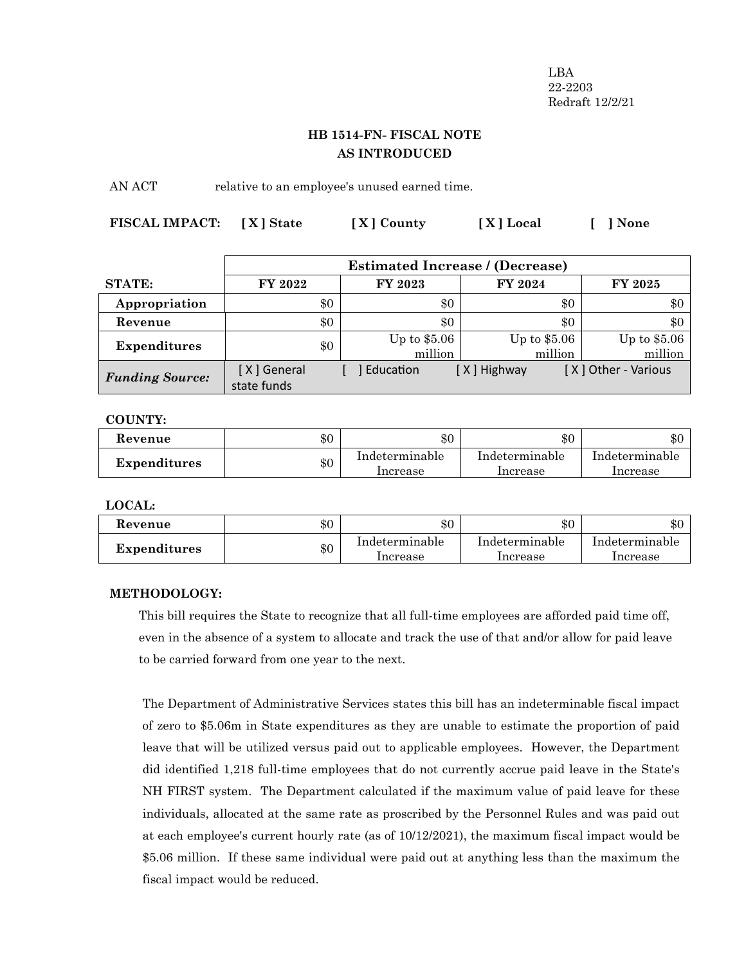LBA 22-2203 Redraft 12/2/21

# **HB 1514-FN- FISCAL NOTE AS INTRODUCED**

AN ACT relative to an employee's unused earned time.

| FISCAL IMPACT: [X] State | [X] County | [X] Local | [ ] None |
|--------------------------|------------|-----------|----------|
|                          |            |           |          |

|                        | <b>Estimated Increase / (Decrease)</b> |     |                          |                          |                          |
|------------------------|----------------------------------------|-----|--------------------------|--------------------------|--------------------------|
| <b>STATE:</b>          | FY 2022                                |     | FY 2023                  | FY 2024                  | FY 2025                  |
| Appropriation          |                                        | \$0 | \$0                      | \$0                      | \$0                      |
| Revenue                |                                        | \$0 | \$0                      | \$0                      | \$0                      |
| <b>Expenditures</b>    |                                        | \$0 | Up to $$5.06$<br>million | Up to $$5.06$<br>million | Up to $$5.06$<br>million |
| <b>Funding Source:</b> | [X] General<br>state funds             |     | Education                | [X] Highway              | [X] Other - Various      |

**COUNTY:**

| Kevenue             | $\$0$ | \$0                        | $\$0$                      | \$0                        |
|---------------------|-------|----------------------------|----------------------------|----------------------------|
| <b>Expenditures</b> | \$0   | Indeterminable<br>Increase | Indeterminable<br>Increase | Indeterminable<br>Increase |

**LOCAL:**

| Kevenue             | \$0 | $\$0$                      | \$0                        | $\theta$<br>. DU           |
|---------------------|-----|----------------------------|----------------------------|----------------------------|
| <b>Expenditures</b> | \$0 | Indeterminable<br>Increase | Indeterminable<br>Increase | Indeterminable<br>Increase |

### **METHODOLOGY:**

This bill requires the State to recognize that all full-time employees are afforded paid time off, even in the absence of a system to allocate and track the use of that and/or allow for paid leave to be carried forward from one year to the next.

The Department of Administrative Services states this bill has an indeterminable fiscal impact of zero to \$5.06m in State expenditures as they are unable to estimate the proportion of paid leave that will be utilized versus paid out to applicable employees. However, the Department did identified 1,218 full-time employees that do not currently accrue paid leave in the State's NH FIRST system. The Department calculated if the maximum value of paid leave for these individuals, allocated at the same rate as proscribed by the Personnel Rules and was paid out at each employee's current hourly rate (as of 10/12/2021), the maximum fiscal impact would be \$5.06 million. If these same individual were paid out at anything less than the maximum the fiscal impact would be reduced.